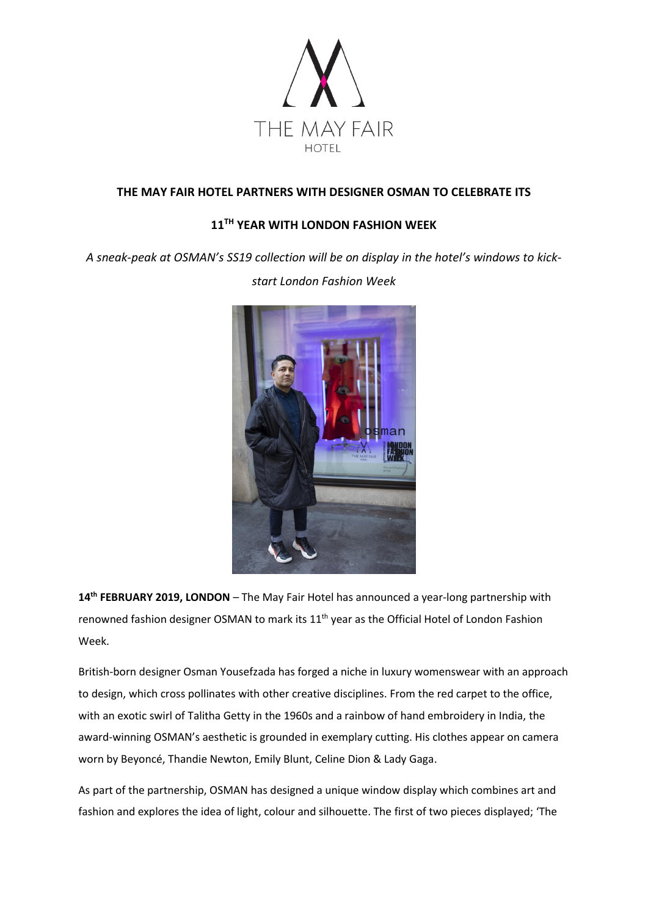

## **THE MAY FAIR HOTEL PARTNERS WITH DESIGNER OSMAN TO CELEBRATE ITS**

# **11 TH YEAR WITH LONDON FASHION WEEK**

*A sneak-peak at OSMAN's SS19 collection will be on display in the hotel's windows to kick-*



*start London Fashion Week*

**14 th FEBRUARY 2019, LONDON** – The May Fair Hotel has announced a year-long partnership with renowned fashion designer OSMAN to mark its 11<sup>th</sup> year as the Official Hotel of London Fashion Week.

British-born designer Osman Yousefzada has forged a niche in luxury womenswear with an approach to design, which cross pollinates with other creative disciplines. From the red carpet to the office, with an exotic swirl of Talitha Getty in the 1960s and a rainbow of hand embroidery in India, the award-winning OSMAN's aesthetic is grounded in exemplary cutting. His clothes appear on camera worn by Beyoncé, Thandie Newton, Emily Blunt, Celine Dion & Lady Gaga.

As part of the partnership, OSMAN has designed a unique window display which combines art and fashion and explores the idea of light, colour and silhouette. The first of two pieces displayed; 'The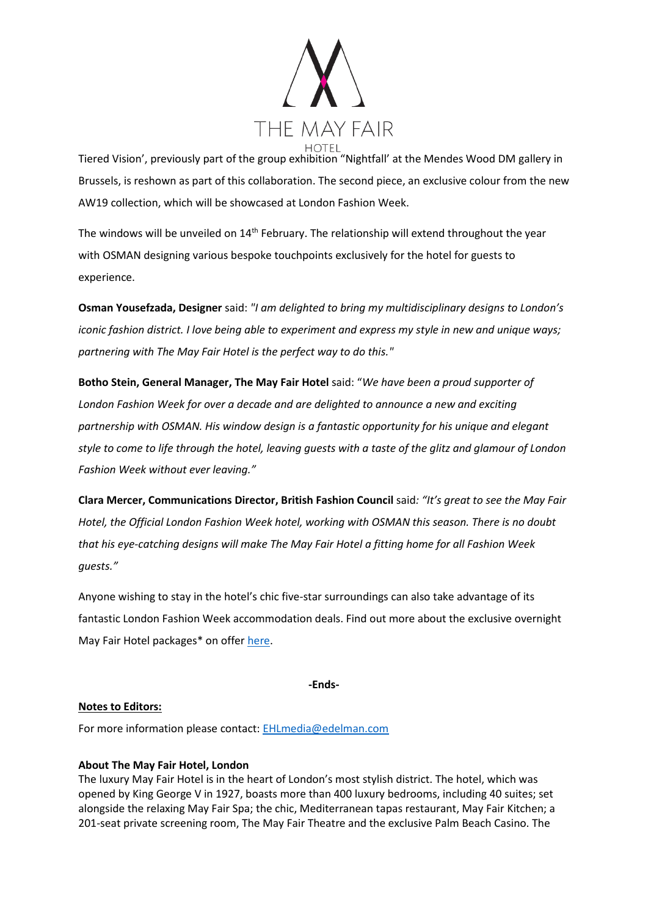

Tiered Vision', previously part of the group exhibition "Nightfall' at the Mendes Wood DM gallery in Brussels, is reshown as part of this collaboration. The second piece, an exclusive colour from the new AW19 collection, which will be showcased at London Fashion Week.

The windows will be unveiled on  $14<sup>th</sup>$  February. The relationship will extend throughout the year with OSMAN designing various bespoke touchpoints exclusively for the hotel for guests to experience.

**Osman Yousefzada, Designer** said: *"I am delighted to bring my multidisciplinary designs to London's iconic fashion district. I love being able to experiment and express my style in new and unique ways; partnering with The May Fair Hotel is the perfect way to do this."*

**Botho Stein, General Manager, The May Fair Hotel** said: "*We have been a proud supporter of London Fashion Week for over a decade and are delighted to announce a new and exciting partnership with OSMAN. His window design is a fantastic opportunity for his unique and elegant style to come to life through the hotel, leaving guests with a taste of the glitz and glamour of London Fashion Week without ever leaving."*

**Clara Mercer, Communications Director, British Fashion Council** said*: "It's great to see the May Fair Hotel, the Official London Fashion Week hotel, working with OSMAN this season. There is no doubt that his eye-catching designs will make The May Fair Hotel a fitting home for all Fashion Week guests."*

Anyone wishing to stay in the hotel's chic five-star surroundings can also take advantage of its fantastic London Fashion Week accommodation deals. Find out more about the exclusive overnight May Fair Hotel packages\* on offer [here.](http://www.themayfairhotel.co.uk/lfw)

**-Ends-**

#### **Notes to Editors:**

For more information please contact: [EHLmedia@edelman.com](mailto:EHLmedia@edelman.com)

## **About The May Fair Hotel, London**

The luxury May Fair Hotel is in the heart of London's most stylish district. The hotel, which was opened by King George V in 1927, boasts more than 400 luxury bedrooms, including 40 suites; set alongside the relaxing May Fair Spa; the chic, Mediterranean tapas restaurant, May Fair Kitchen; a 201-seat private screening room, The May Fair Theatre and the exclusive Palm Beach Casino. The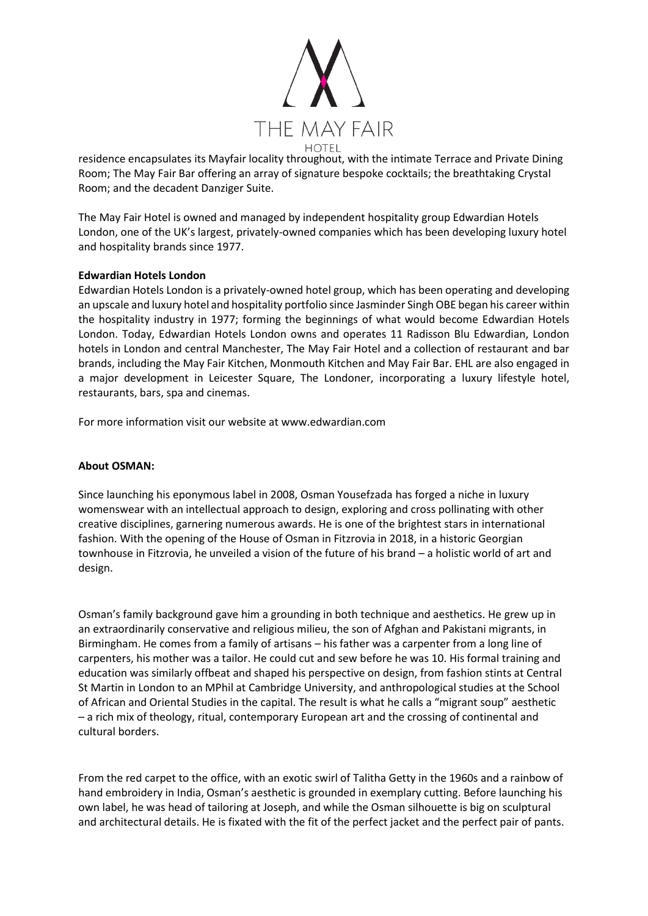

residence encapsulates its Mayfair locality throughout, with the intimate Terrace and Private Dining Room; The May Fair Bar offering an array of signature bespoke cocktails; the breathtaking Crystal Room; and the decadent Danziger Suite.

The May Fair Hotel is owned and managed by independent hospitality group Edwardian Hotels London, one of the UK's largest, privately-owned companies which has been developing luxury hotel and hospitality brands since 1977.

#### **Edwardian Hotels London**

Edwardian Hotels London is a privately-owned hotel group, which has been operating and developing an upscale and luxury hotel and hospitality portfolio since Jasminder Singh OBE began his career within the hospitality industry in 1977; forming the beginnings of what would become Edwardian Hotels London. Today, Edwardian Hotels London owns and operates 11 Radisson Blu Edwardian, London hotels in London and central Manchester, The May Fair Hotel and a collection of restaurant and bar brands, including the May Fair Kitchen, Monmouth Kitchen and May Fair Bar. EHL are also engaged in a major development in Leicester Square, The Londoner, incorporating a luxury lifestyle hotel, restaurants, bars, spa and cinemas.

For more information visit our website at www.edwardian.com

## **About OSMAN:**

Since launching his eponymous label in 2008, Osman Yousefzada has forged a niche in luxury womenswear with an intellectual approach to design, exploring and cross pollinating with other creative disciplines, garnering numerous awards. He is one of the brightest stars in international fashion. With the opening of the House of Osman in Fitzrovia in 2018, in a historic Georgian townhouse in Fitzrovia, he unveiled a vision of the future of his brand – a holistic world of art and design.

Osman's family background gave him a grounding in both technique and aesthetics. He grew up in an extraordinarily conservative and religious milieu, the son of Afghan and Pakistani migrants, in Birmingham. He comes from a family of artisans – his father was a carpenter from a long line of carpenters, his mother was a tailor. He could cut and sew before he was 10. His formal training and education was similarly offbeat and shaped his perspective on design, from fashion stints at Central St Martin in London to an MPhil at Cambridge University, and anthropological studies at the School of African and Oriental Studies in the capital. The result is what he calls a "migrant soup" aesthetic – a rich mix of theology, ritual, contemporary European art and the crossing of continental and cultural borders.

From the red carpet to the office, with an exotic swirl of Talitha Getty in the 1960s and a rainbow of hand embroidery in India, Osman's aesthetic is grounded in exemplary cutting. Before launching his own label, he was head of tailoring at Joseph, and while the Osman silhouette is big on sculptural and architectural details. He is fixated with the fit of the perfect jacket and the perfect pair of pants.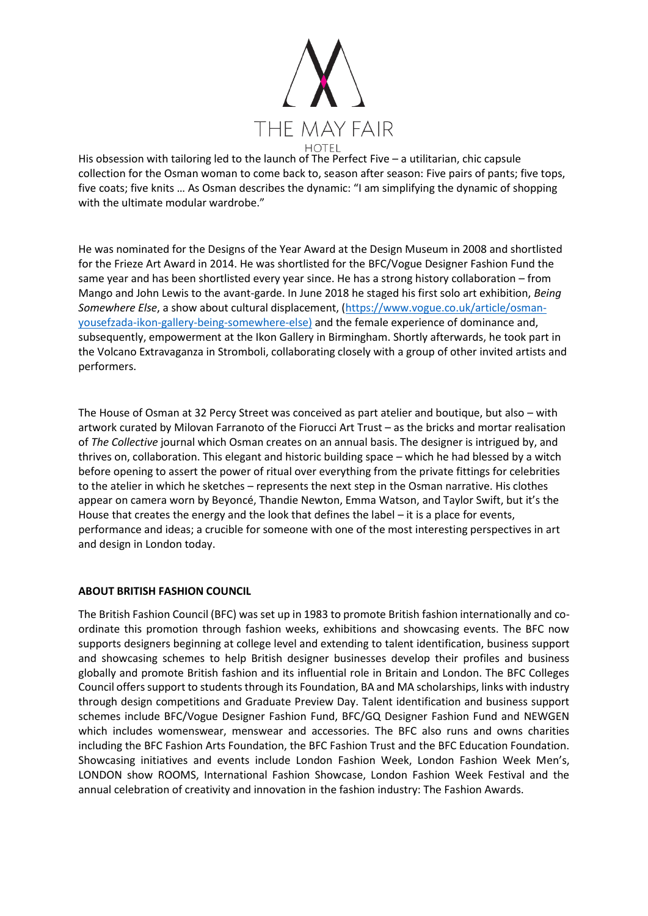

His obsession with tailoring led to the launch of The Perfect Five – a utilitarian, chic capsule collection for the Osman woman to come back to, season after season: Five pairs of pants; five tops, five coats; five knits … As Osman describes the dynamic: "I am simplifying the dynamic of shopping with the ultimate modular wardrobe."

He was nominated for the Designs of the Year Award at the Design Museum in 2008 and shortlisted for the Frieze Art Award in 2014. He was shortlisted for the BFC/Vogue Designer Fashion Fund the same year and has been shortlisted every year since. He has a strong history collaboration – from Mango and John Lewis to the avant-garde. In June 2018 he staged his first solo art exhibition, *Being Somewhere Else*, a show about cultural displacement, [\(https://www.vogue.co.uk/article/osman](https://www.vogue.co.uk/article/osman-yousefzada-ikon-gallery-being-somewhere-else))[yousefzada-ikon-gallery-being-somewhere-else\)](https://www.vogue.co.uk/article/osman-yousefzada-ikon-gallery-being-somewhere-else)) and the female experience of dominance and, subsequently, empowerment at the Ikon Gallery in Birmingham. Shortly afterwards, he took part in the Volcano Extravaganza in Stromboli, collaborating closely with a group of other invited artists and performers.

The House of Osman at 32 Percy Street was conceived as part atelier and boutique, but also – with artwork curated by Milovan Farranoto of the Fiorucci Art Trust – as the bricks and mortar realisation of *The Collective* journal which Osman creates on an annual basis. The designer is intrigued by, and thrives on, collaboration. This elegant and historic building space – which he had blessed by a witch before opening to assert the power of ritual over everything from the private fittings for celebrities to the atelier in which he sketches – represents the next step in the Osman narrative. His clothes appear on camera worn by Beyoncé, Thandie Newton, Emma Watson, and Taylor Swift, but it's the House that creates the energy and the look that defines the label – it is a place for events, performance and ideas; a crucible for someone with one of the most interesting perspectives in art and design in London today.

## **ABOUT BRITISH FASHION COUNCIL**

The British Fashion Council (BFC) was set up in 1983 to promote British fashion internationally and coordinate this promotion through fashion weeks, exhibitions and showcasing events. The BFC now supports designers beginning at college level and extending to talent identification, business support and showcasing schemes to help British designer businesses develop their profiles and business globally and promote British fashion and its influential role in Britain and London. The BFC Colleges Council offers support to students through its Foundation, BA and MA scholarships, links with industry through design competitions and Graduate Preview Day. Talent identification and business support schemes include BFC/Vogue Designer Fashion Fund, BFC/GQ Designer Fashion Fund and NEWGEN which includes womenswear, menswear and accessories. The BFC also runs and owns charities including the BFC Fashion Arts Foundation, the BFC Fashion Trust and the BFC Education Foundation. Showcasing initiatives and events include London Fashion Week, London Fashion Week Men's, LONDON show ROOMS, International Fashion Showcase, London Fashion Week Festival and the annual celebration of creativity and innovation in the fashion industry: The Fashion Awards.